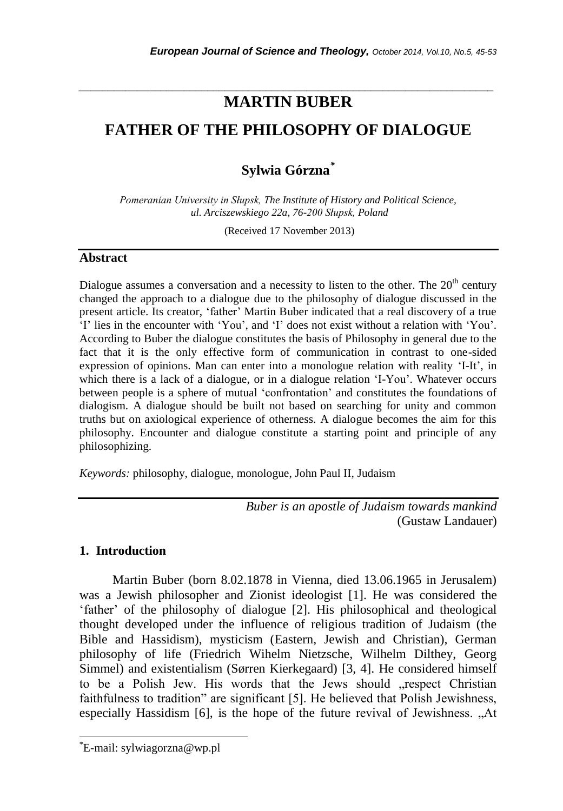# *\_\_\_\_\_\_\_\_\_\_\_\_\_\_\_\_\_\_\_\_\_\_\_\_\_\_\_\_\_\_\_\_\_\_\_\_\_\_\_\_\_\_\_\_\_\_\_\_\_\_\_\_\_\_\_\_\_\_\_\_\_\_\_\_\_\_\_\_\_\_\_* **MARTIN BUBER**

# **FATHER OF THE PHILOSOPHY OF DIALOGUE**

**Sylwia Górzna***\**

*Pomeranian University in Słupsk, The Institute of History and Political Science, ul. Arciszewskiego 22a, 76-200 Słupsk, Poland*

(Received 17 November 2013)

### **Abstract**

Dialogue assumes a conversation and a necessity to listen to the other. The  $20<sup>th</sup>$  century changed the approach to a dialogue due to the philosophy of dialogue discussed in the present article. Its creator, "father" Martin Buber indicated that a real discovery of a true "I" lies in the encounter with "You", and "I" does not exist without a relation with "You". According to Buber the dialogue constitutes the basis of Philosophy in general due to the fact that it is the only effective form of communication in contrast to one-sided expression of opinions. Man can enter into a monologue relation with reality "I-It", in which there is a lack of a dialogue, or in a dialogue relation "I-You". Whatever occurs between people is a sphere of mutual "confrontation" and constitutes the foundations of dialogism. A dialogue should be built not based on searching for unity and common truths but on axiological experience of otherness. A dialogue becomes the aim for this philosophy. Encounter and dialogue constitute a starting point and principle of any philosophizing.

*Keywords:* philosophy, dialogue, monologue, John Paul II, Judaism

*Buber is an apostle of Judaism towards mankind* (Gustaw Landauer)

# **1. Introduction**

Martin Buber (born 8.02.1878 in Vienna, died 13.06.1965 in Jerusalem) was a Jewish philosopher and Zionist ideologist [1]. He was considered the "father" of the philosophy of dialogue [2]. His philosophical and theological thought developed under the influence of religious tradition of Judaism (the Bible and Hassidism), mysticism (Eastern, Jewish and Christian), German philosophy of life (Friedrich Wihelm Nietzsche, Wilhelm Dilthey, Georg Simmel) and existentialism (Sørren Kierkegaard) [3, 4]. He considered himself to be a Polish Jew. His words that the Jews should "respect Christian faithfulness to tradition" are significant [5]. He believed that Polish Jewishness, especially Hassidism [6], is the hope of the future revival of Jewishness. "At

l

<sup>\*</sup>E-mail: sylwiagorzna@wp.pl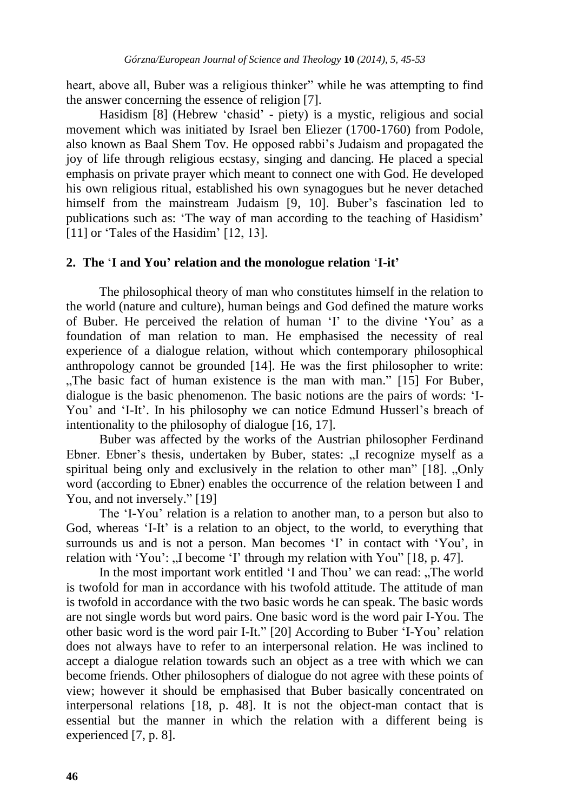heart, above all, Buber was a religious thinker" while he was attempting to find the answer concerning the essence of religion [7].

Hasidism [8] (Hebrew "chasid" - piety) is a mystic, religious and social movement which was initiated by Israel ben Eliezer (1700-1760) from Podole, also known as Baal Shem Tov. He opposed rabbi"s Judaism and propagated the joy of life through religious ecstasy, singing and dancing. He placed a special emphasis on private prayer which meant to connect one with God. He developed his own religious ritual, established his own synagogues but he never detached himself from the mainstream Judaism [9, 10]. Buber's fascination led to publications such as: "The way of man according to the teaching of Hasidism" [11] or 'Tales of the Hasidim' [12, 13].

### **2. The** "**I and You' relation and the monologue relation** "**I-it'**

The philosophical theory of man who constitutes himself in the relation to the world (nature and culture), human beings and God defined the mature works of Buber. He perceived the relation of human "I" to the divine "You" as a foundation of man relation to man. He emphasised the necessity of real experience of a dialogue relation, without which contemporary philosophical anthropology cannot be grounded [14]. He was the first philosopher to write: "The basic fact of human existence is the man with man." [15] For Buber, dialogue is the basic phenomenon. The basic notions are the pairs of words: "I-You' and 'I-It'. In his philosophy we can notice Edmund Husserl's breach of intentionality to the philosophy of dialogue [16, 17].

Buber was affected by the works of the Austrian philosopher Ferdinand Ebner. Ebner's thesis, undertaken by Buber, states: "I recognize myself as a spiritual being only and exclusively in the relation to other man" [18]. "Only word (according to Ebner) enables the occurrence of the relation between I and You, and not inversely." [19]

The "I-You" relation is a relation to another man, to a person but also to God, whereas 'I-It' is a relation to an object, to the world, to everything that surrounds us and is not a person. Man becomes 'I' in contact with 'You', in relation with 'You': "I become 'I' through my relation with You"  $[18, p. 47]$ .

In the most important work entitled 'I and Thou' we can read: "The world" is twofold for man in accordance with his twofold attitude. The attitude of man is twofold in accordance with the two basic words he can speak. The basic words are not single words but word pairs. One basic word is the word pair I-You. The other basic word is the word pair I-It." [20] According to Buber "I-You" relation does not always have to refer to an interpersonal relation. He was inclined to accept a dialogue relation towards such an object as a tree with which we can become friends. Other philosophers of dialogue do not agree with these points of view; however it should be emphasised that Buber basically concentrated on interpersonal relations [18, p. 48]. It is not the object-man contact that is essential but the manner in which the relation with a different being is experienced [7, p. 8].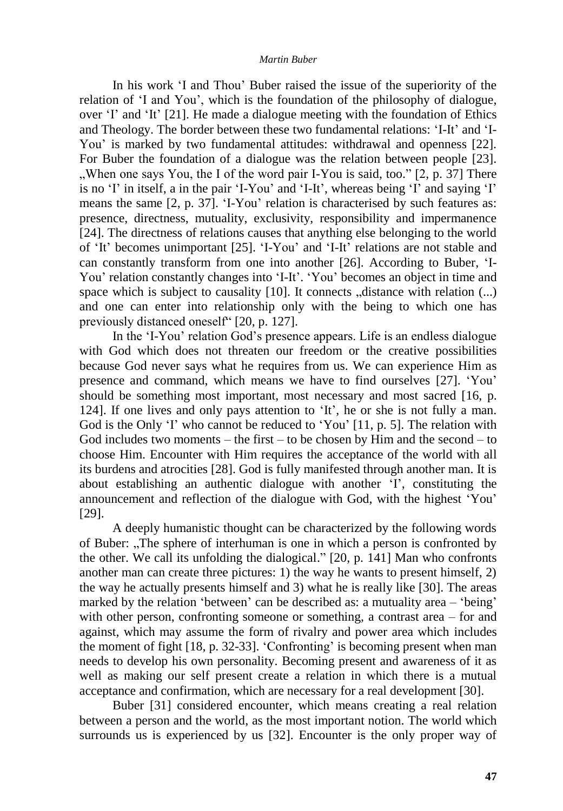In his work "I and Thou" Buber raised the issue of the superiority of the relation of "I and You", which is the foundation of the philosophy of dialogue, over "I" and "It" [21]. He made a dialogue meeting with the foundation of Ethics and Theology. The border between these two fundamental relations: "I-It" and "I-You" is marked by two fundamental attitudes: withdrawal and openness [22]. For Buber the foundation of a dialogue was the relation between people [23]. . When one says You, the I of the word pair I-You is said, too."  $[2, p. 37]$  There is no 'I' in itself, a in the pair 'I-You' and 'I-It', whereas being 'I' and saying 'I' means the same [2, p. 37]. "I-You" relation is characterised by such features as: presence, directness, mutuality, exclusivity, responsibility and impermanence [24]. The directness of relations causes that anything else belonging to the world of "It" becomes unimportant [25]. "I-You" and "I-It" relations are not stable and can constantly transform from one into another [26]. According to Buber, "I-You' relation constantly changes into 'I-It'. 'You' becomes an object in time and space which is subject to causality  $[10]$ . It connects  $\alpha$  distance with relation  $(\dots)$ and one can enter into relationship only with the being to which one has previously distanced oneself" [20, p. 127].

In the "I-You" relation God"s presence appears. Life is an endless dialogue with God which does not threaten our freedom or the creative possibilities because God never says what he requires from us. We can experience Him as presence and command, which means we have to find ourselves [27]. "You" should be something most important, most necessary and most sacred [16, p. 124]. If one lives and only pays attention to "It", he or she is not fully a man. God is the Only 'I' who cannot be reduced to 'You' [11, p. 5]. The relation with God includes two moments – the first – to be chosen by Him and the second – to choose Him. Encounter with Him requires the acceptance of the world with all its burdens and atrocities [28]. God is fully manifested through another man. It is about establishing an authentic dialogue with another 'I', constituting the announcement and reflection of the dialogue with God, with the highest "You" [29].

A deeply humanistic thought can be characterized by the following words of Buber: "The sphere of interhuman is one in which a person is confronted by the other. We call its unfolding the dialogical." [20, p. 141] Man who confronts another man can create three pictures: 1) the way he wants to present himself, 2) the way he actually presents himself and 3) what he is really like [30]. The areas marked by the relation 'between' can be described as: a mutuality area – 'being' with other person, confronting someone or something, a contrast area – for and against, which may assume the form of rivalry and power area which includes the moment of fight [18, p. 32-33]. "Confronting" is becoming present when man needs to develop his own personality. Becoming present and awareness of it as well as making our self present create a relation in which there is a mutual acceptance and confirmation, which are necessary for a real development [30].

Buber [31] considered encounter, which means creating a real relation between a person and the world, as the most important notion. The world which surrounds us is experienced by us [32]. Encounter is the only proper way of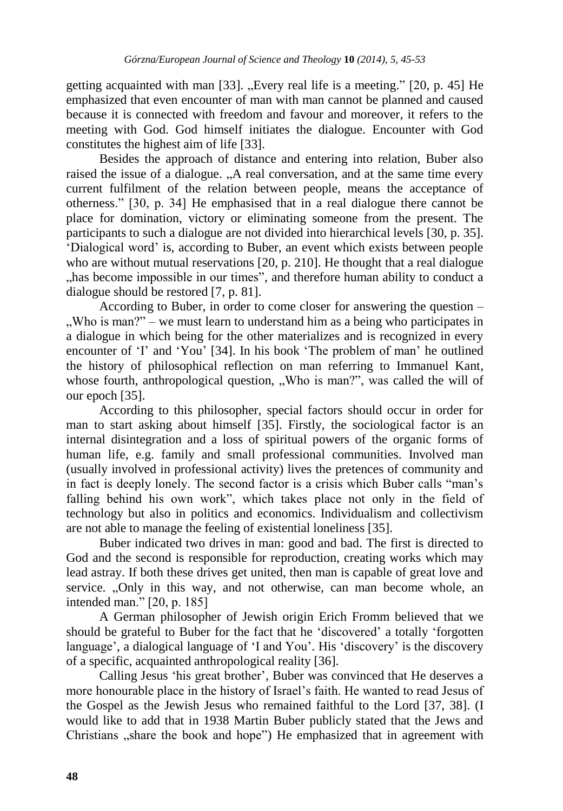getting acquainted with man  $[33]$ . "Every real life is a meeting."  $[20, p. 45]$  He emphasized that even encounter of man with man cannot be planned and caused because it is connected with freedom and favour and moreover, it refers to the meeting with God. God himself initiates the dialogue. Encounter with God constitutes the highest aim of life [33].

Besides the approach of distance and entering into relation, Buber also raised the issue of a dialogue. "A real conversation, and at the same time every current fulfilment of the relation between people, means the acceptance of otherness." [30, p. 34] He emphasised that in a real dialogue there cannot be place for domination, victory or eliminating someone from the present. The participants to such a dialogue are not divided into hierarchical levels [30, p. 35]. "Dialogical word" is, according to Buber, an event which exists between people who are without mutual reservations [20, p. 210]. He thought that a real dialogue has become impossible in our times", and therefore human ability to conduct a dialogue should be restored [7, p. 81].

According to Buber, in order to come closer for answering the question –  $\mu$ . Who is man?" – we must learn to understand him as a being who participates in a dialogue in which being for the other materializes and is recognized in every encounter of 'I' and 'You' [34]. In his book 'The problem of man' he outlined the history of philosophical reflection on man referring to Immanuel Kant, whose fourth, anthropological question, "Who is man?", was called the will of our epoch [35].

According to this philosopher, special factors should occur in order for man to start asking about himself [35]. Firstly, the sociological factor is an internal disintegration and a loss of spiritual powers of the organic forms of human life, e.g. family and small professional communities. Involved man (usually involved in professional activity) lives the pretences of community and in fact is deeply lonely. The second factor is a crisis which Buber calls "man"s falling behind his own work", which takes place not only in the field of technology but also in politics and economics. Individualism and collectivism are not able to manage the feeling of existential loneliness [35].

Buber indicated two drives in man: good and bad. The first is directed to God and the second is responsible for reproduction, creating works which may lead astray. If both these drives get united, then man is capable of great love and service. "Only in this way, and not otherwise, can man become whole, an intended man." [20, p. 185]

A German philosopher of Jewish origin Erich Fromm believed that we should be grateful to Buber for the fact that he 'discovered' a totally 'forgotten language', a dialogical language of 'I and You'. His 'discovery' is the discovery of a specific, acquainted anthropological reality [36].

Calling Jesus "his great brother", Buber was convinced that He deserves a more honourable place in the history of Israel"s faith. He wanted to read Jesus of the Gospel as the Jewish Jesus who remained faithful to the Lord [37, 38]. (I would like to add that in 1938 Martin Buber publicly stated that the Jews and Christians "share the book and hope") He emphasized that in agreement with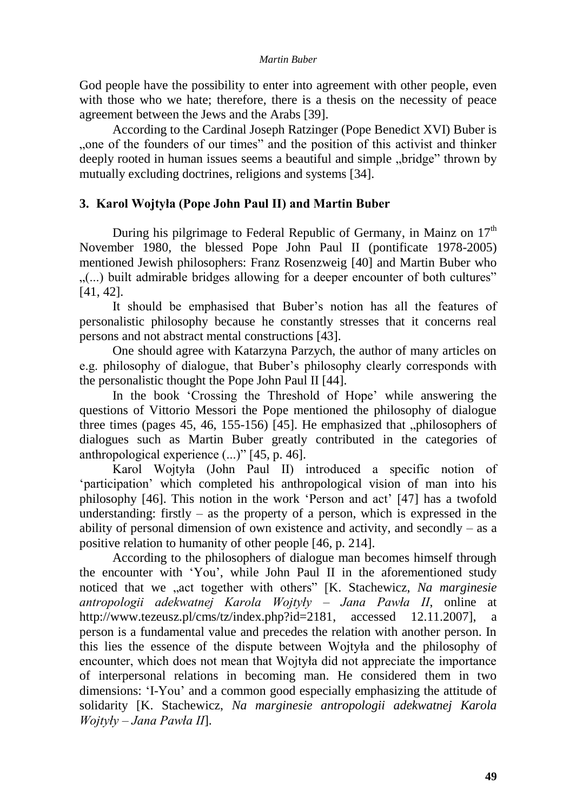God people have the possibility to enter into agreement with other people, even with those who we hate; therefore, there is a thesis on the necessity of peace agreement between the Jews and the Arabs [39].

According to the Cardinal Joseph Ratzinger (Pope Benedict XVI) Buber is "one of the founders of our times" and the position of this activist and thinker deeply rooted in human issues seems a beautiful and simple ..bridge" thrown by mutually excluding doctrines, religions and systems [34].

# **3. Karol Wojtyła (Pope John Paul II) and Martin Buber**

During his pilgrimage to Federal Republic of Germany, in Mainz on  $17<sup>th</sup>$ November 1980, the blessed Pope John Paul II (pontificate 1978-2005) mentioned Jewish philosophers: Franz Rosenzweig [40] and Martin Buber who .......) built admirable bridges allowing for a deeper encounter of both cultures" [41, 42].

It should be emphasised that Buber"s notion has all the features of personalistic philosophy because he constantly stresses that it concerns real persons and not abstract mental constructions [43].

One should agree with Katarzyna Parzych, the author of many articles on e.g. philosophy of dialogue, that Buber"s philosophy clearly corresponds with the personalistic thought the Pope John Paul II [44].

In the book 'Crossing the Threshold of Hope' while answering the questions of Vittorio Messori the Pope mentioned the philosophy of dialogue three times (pages  $45, 46, 155-156$ ) [ $45$ ]. He emphasized that "philosophers of dialogues such as Martin Buber greatly contributed in the categories of anthropological experience (...)" [45, p. 46].

Karol Wojtyła (John Paul II) introduced a specific notion of 'participation' which completed his anthropological vision of man into his philosophy [46]. This notion in the work "Person and act" [47] has a twofold understanding: firstly  $-$  as the property of a person, which is expressed in the ability of personal dimension of own existence and activity, and secondly – as a positive relation to humanity of other people [46, p. 214].

According to the philosophers of dialogue man becomes himself through the encounter with "You", while John Paul II in the aforementioned study noticed that we "act together with others" [K. Stachewicz, *Na marginesie antropologii adekwatnej Karola Wojtyły – Jana Pawła II*, online at http://www.tezeusz.pl/cms/tz/index.php?id=2181, accessed 12.11.2007], a person is a fundamental value and precedes the relation with another person. In this lies the essence of the dispute between Wojtyła and the philosophy of encounter, which does not mean that Wojtyła did not appreciate the importance of interpersonal relations in becoming man. He considered them in two dimensions: "I-You" and a common good especially emphasizing the attitude of solidarity [K. Stachewicz, *Na marginesie antropologii adekwatnej Karola Wojtyły – Jana Pawła II*].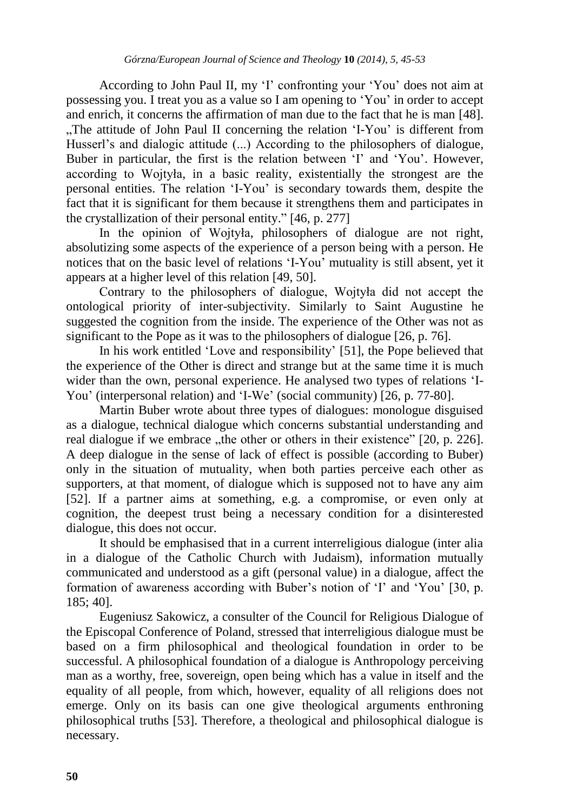According to John Paul II, my 'I' confronting your 'You' does not aim at possessing you. I treat you as a value so I am opening to "You" in order to accept and enrich, it concerns the affirmation of man due to the fact that he is man [48]. "The attitude of John Paul II concerning the relation 'I-You' is different from Husserl's and dialogic attitude (...) According to the philosophers of dialogue, Buber in particular, the first is the relation between 'I' and 'You'. However, according to Wojtyła, in a basic reality, existentially the strongest are the personal entities. The relation "I-You" is secondary towards them, despite the fact that it is significant for them because it strengthens them and participates in the crystallization of their personal entity." [46, p. 277]

In the opinion of Wojtyła, philosophers of dialogue are not right, absolutizing some aspects of the experience of a person being with a person. He notices that on the basic level of relations "I-You" mutuality is still absent, yet it appears at a higher level of this relation [49, 50].

Contrary to the philosophers of dialogue, Wojtyła did not accept the ontological priority of inter-subjectivity. Similarly to Saint Augustine he suggested the cognition from the inside. The experience of the Other was not as significant to the Pope as it was to the philosophers of dialogue [26, p. 76].

In his work entitled "Love and responsibility" [51], the Pope believed that the experience of the Other is direct and strange but at the same time it is much wider than the own, personal experience. He analysed two types of relations "I-You' (interpersonal relation) and 'I-We' (social community) [26, p. 77-80].

Martin Buber wrote about three types of dialogues: monologue disguised as a dialogue, technical dialogue which concerns substantial understanding and real dialogue if we embrace  $\mu$ the other or others in their existence" [20, p. 226]. A deep dialogue in the sense of lack of effect is possible (according to Buber) only in the situation of mutuality, when both parties perceive each other as supporters, at that moment, of dialogue which is supposed not to have any aim [52]. If a partner aims at something, e.g. a compromise, or even only at cognition, the deepest trust being a necessary condition for a disinterested dialogue, this does not occur.

It should be emphasised that in a current interreligious dialogue (inter alia in a dialogue of the Catholic Church with Judaism), information mutually communicated and understood as a gift (personal value) in a dialogue, affect the formation of awareness according with Buber's notion of 'I' and 'You' [30, p. 185; 40].

Eugeniusz Sakowicz, a consulter of the Council for Religious Dialogue of the Episcopal Conference of Poland, stressed that interreligious dialogue must be based on a firm philosophical and theological foundation in order to be successful. A philosophical foundation of a dialogue is Anthropology perceiving man as a worthy, free, sovereign, open being which has a value in itself and the equality of all people, from which, however, equality of all religions does not emerge. Only on its basis can one give theological arguments enthroning philosophical truths [53]. Therefore, a theological and philosophical dialogue is necessary.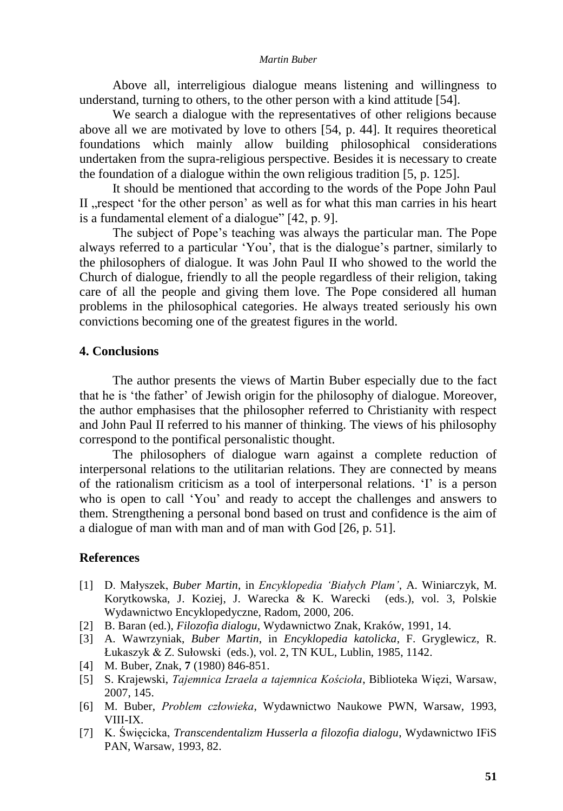Above all, interreligious dialogue means listening and willingness to understand, turning to others, to the other person with a kind attitude [54].

We search a dialogue with the representatives of other religions because above all we are motivated by love to others [54, p. 44]. It requires theoretical foundations which mainly allow building philosophical considerations undertaken from the supra-religious perspective. Besides it is necessary to create the foundation of a dialogue within the own religious tradition [5, p. 125].

It should be mentioned that according to the words of the Pope John Paul II respect 'for the other person' as well as for what this man carries in his heart is a fundamental element of a dialogue" [42, p. 9].

The subject of Pope"s teaching was always the particular man. The Pope always referred to a particular "You", that is the dialogue"s partner, similarly to the philosophers of dialogue. It was John Paul II who showed to the world the Church of dialogue, friendly to all the people regardless of their religion, taking care of all the people and giving them love. The Pope considered all human problems in the philosophical categories. He always treated seriously his own convictions becoming one of the greatest figures in the world.

### **4. Conclusions**

The author presents the views of Martin Buber especially due to the fact that he is "the father" of Jewish origin for the philosophy of dialogue. Moreover, the author emphasises that the philosopher referred to Christianity with respect and John Paul II referred to his manner of thinking. The views of his philosophy correspond to the pontifical personalistic thought.

The philosophers of dialogue warn against a complete reduction of interpersonal relations to the utilitarian relations. They are connected by means of the rationalism criticism as a tool of interpersonal relations. "I" is a person who is open to call "You" and ready to accept the challenges and answers to them. Strengthening a personal bond based on trust and confidence is the aim of a dialogue of man with man and of man with God [26, p. 51].

### **References**

- [1] D. Małyszek, *Buber Martin*, in *Encyklopedia 'Białych Plam'*, A. Winiarczyk, M. Korytkowska, J. Koziej, J. Warecka & K. Warecki (eds.), vol. 3, Polskie Wydawnictwo Encyklopedyczne, Radom, 2000, 206.
- [2] B. Baran (ed.), *Filozofia dialogu*, Wydawnictwo Znak, Kraków, 1991, 14.
- [3] A. Wawrzyniak, *Buber Martin*, in *Encyklopedia katolicka*, F. Gryglewicz, R. Łukaszyk & Z. Sułowski (eds.), vol. 2, TN KUL, Lublin, 1985, 1142.
- [4] M. Buber, Znak, **7** (1980) 846-851.
- [5] S. Krajewski, *Tajemnica Izraela a tajemnica Kościoła*, Biblioteka Więzi, Warsaw, 2007, 145.
- [6] M. Buber, *Problem człowieka*, Wydawnictwo Naukowe PWN, Warsaw, 1993, VIII-IX.
- [7] K. Święcicka, *Transcendentalizm Husserla a filozofia dialogu*, Wydawnictwo IFiS PAN, Warsaw, 1993, 82.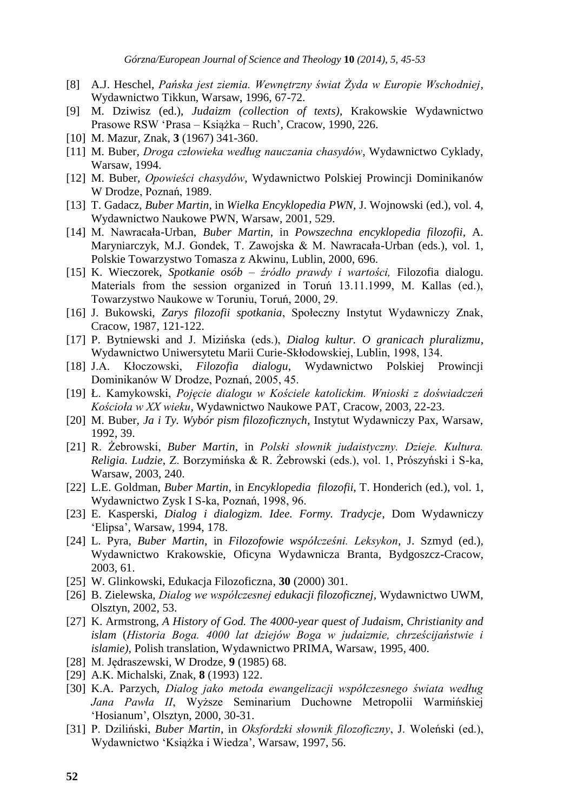- [8] A.J. Heschel, *Pańska jest ziemia. Wewnętrzny świat Żyda w Europie Wschodniej*, Wydawnictwo Tikkun, Warsaw, 1996, 67-72.
- [9] M. Dziwisz (ed.), *Judaizm (collection of texts)*, Krakowskie Wydawnictwo Prasowe RSW "Prasa – Książka – Ruch", Cracow, 1990, 226.
- [10] M. Mazur, Znak, **3** (1967) 341-360.
- [11] M. Buber, *Droga człowieka według nauczania chasydów*, Wydawnictwo Cyklady, Warsaw, 1994.
- [12] M. Buber, *Opowieści chasydów*, Wydawnictwo Polskiej Prowincji Dominikanów W Drodze, Poznań, 1989.
- [13] T. Gadacz, *Buber Martin*, in *Wielka Encyklopedia PWN*, J. Wojnowski (ed.), vol. 4, Wydawnictwo Naukowe PWN, Warsaw, 2001, 529.
- [14] M. Nawracała-Urban, *Buber Martin*, in *Powszechna encyklopedia filozofii*, A. Maryniarczyk, M.J. Gondek, T. Zawojska & M. Nawracała-Urban (eds.), vol. 1, Polskie Towarzystwo Tomasza z Akwinu, Lublin, 2000, 696.
- [15] K. Wieczorek, *Spotkanie osób – źródło prawdy i wartości,* Filozofia dialogu. Materials from the session organized in Toruń 13.11.1999, M. Kallas (ed.), Towarzystwo Naukowe w Toruniu, Toruń, 2000, 29.
- [16] J. Bukowski, *Zarys filozofii spotkania*, Społeczny Instytut Wydawniczy Znak, Cracow, 1987, 121-122.
- [17] P. Bytniewski and J. Mizińska (eds.), *Dialog kultur. O granicach pluralizmu*, Wydawnictwo Uniwersytetu Marii Curie-Skłodowskiej, Lublin, 1998, 134.
- [18] J.A. Kłoczowski, *Filozofia dialogu*, Wydawnictwo Polskiej Prowincji Dominikanów W Drodze, Poznań, 2005, 45.
- [19] Ł. Kamykowski, *Pojęcie dialogu w Kościele katolickim. Wnioski z doświadczeń Kościoła w XX wieku*, Wydawnictwo Naukowe PAT, Cracow, 2003, 22-23.
- [20] M. Buber, *Ja i Ty. Wybór pism filozoficznych*, Instytut Wydawniczy Pax, Warsaw, 1992, 39.
- [21] R. Żebrowski, *Buber Martin*, in *Polski słownik judaistyczny. Dzieje. Kultura. Religia. Ludzie*, Z. Borzymińska & R. Żebrowski (eds.), vol. 1, Prószyński i S-ka, Warsaw, 2003, 240.
- [22] L.E. Goldman, *Buber Martin*, in *Encyklopedia filozofii*, T. Honderich (ed.), vol. 1, Wydawnictwo Zysk I S-ka, Poznań, 1998, 96.
- [23] E. Kasperski, *Dialog i dialogizm. Idee. Formy. Tradycje*, Dom Wydawniczy "Elipsa", Warsaw, 1994, 178.
- [24] L. Pyra, *Buber Martin*, in *Filozofowie współcześni. Leksykon*, J. Szmyd (ed.), Wydawnictwo Krakowskie, Oficyna Wydawnicza Branta, Bydgoszcz-Cracow, 2003, 61.
- [25] W. Glinkowski, Edukacja Filozoficzna, **30** (2000) 301.
- [26] B. Zielewska, *Dialog we współczesnej edukacji filozoficznej*, Wydawnictwo UWM, Olsztyn, 2002, 53.
- [27] K. Armstrong, *A History of God. The 4000-year quest of Judaism, Christianity and islam* (*Historia Boga. 4000 lat dziejów Boga w judaizmie, chrześcijaństwie i islamie)*, Polish translation, Wydawnictwo PRIMA, Warsaw, 1995, 400.
- [28] M. Jędraszewski, W Drodze, **9** (1985) 68.
- [29] A.K. Michalski, Znak, **8** (1993) 122.
- [30] K.A. Parzych, *Dialog jako metoda ewangelizacji współczesnego świata według Jana Pawła II*, Wyższe Seminarium Duchowne Metropolii Warmińskiej "Hosianum", Olsztyn, 2000, 30-31.
- [31] P. Dziliński, *Buber Martin*, in *Oksfordzki słownik filozoficzny*, J. Woleński (ed.), Wydawnictwo "Książka i Wiedza", Warsaw, 1997, 56.